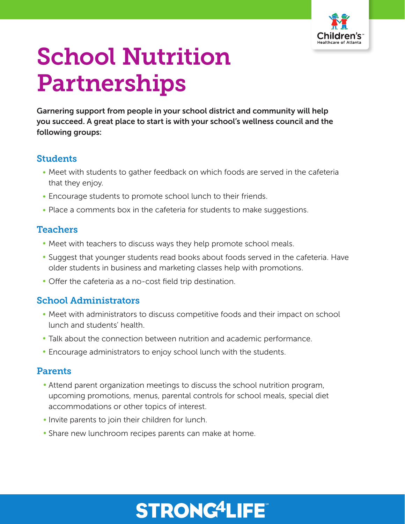

# School Nutrition Partnerships

Garnering support from people in your school district and community will help you succeed. A great place to start is with your school's wellness council and the following groups:

# **Students**

- Meet with students to gather feedback on which foods are served in the cafeteria that they enjoy.
- Encourage students to promote school lunch to their friends.
- Place a comments box in the cafeteria for students to make suggestions.

# **Teachers**

- Meet with teachers to discuss ways they help promote school meals.
- Suggest that younger students read books about foods served in the cafeteria. Have older students in business and marketing classes help with promotions.
- Offer the cafeteria as a no-cost field trip destination.

# School Administrators

- Meet with administrators to discuss competitive foods and their impact on school lunch and students' health.
- Talk about the connection between nutrition and academic performance.
- Encourage administrators to enjoy school lunch with the students.

# Parents

- Attend parent organization meetings to discuss the school nutrition program, upcoming promotions, menus, parental controls for school meals, special diet accommodations or other topics of interest.
- Invite parents to join their children for lunch.
- Share new lunchroom recipes parents can make at home.

# **STRONG4LIFE®**